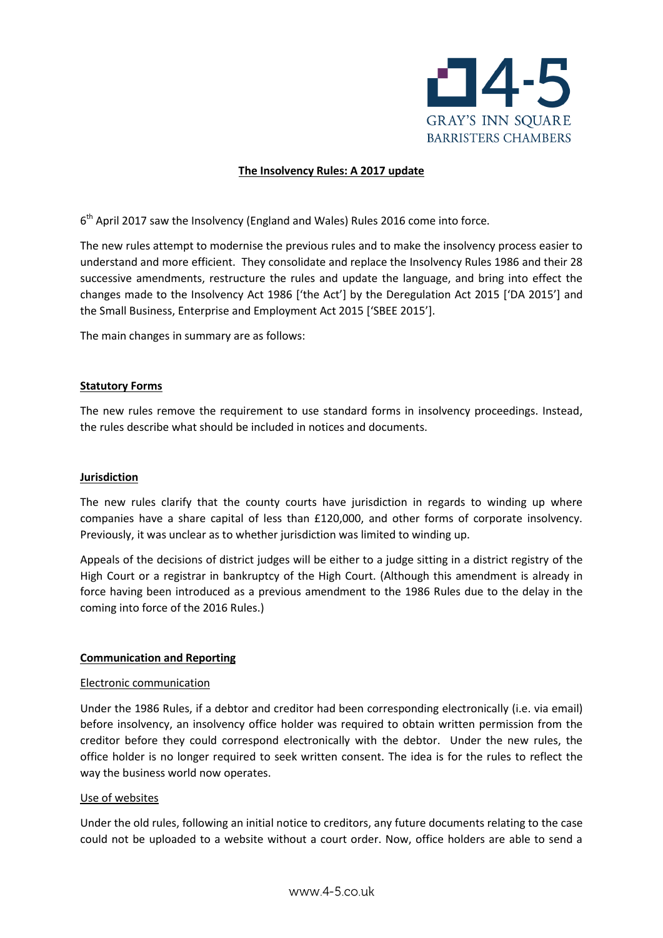

### **The Insolvency Rules: A 2017 update**

6<sup>th</sup> April 2017 saw the Insolvency (England and Wales) Rules 2016 come into force.

The new rules attempt to modernise the previous rules and to make the insolvency process easier to understand and more efficient. They consolidate and replace the Insolvency Rules 1986 and their 28 successive amendments, restructure the rules and update the language, and bring into effect the changes made to the Insolvency Act 1986 ['the Act'] by the Deregulation Act 2015 ['DA 2015'] and the Small Business, Enterprise and Employment Act 2015 ['SBEE 2015'].

The main changes in summary are as follows:

#### **Statutory Forms**

The new rules remove the requirement to use standard forms in insolvency proceedings. Instead, the rules describe what should be included in notices and documents.

### **Jurisdiction**

The new rules clarify that the county courts have jurisdiction in regards to winding up where companies have a share capital of less than £120,000, and other forms of corporate insolvency. Previously, it was unclear as to whether jurisdiction was limited to winding up.

Appeals of the decisions of district judges will be either to a judge sitting in a district registry of the High Court or a registrar in bankruptcy of the High Court. (Although this amendment is already in force having been introduced as a previous amendment to the 1986 Rules due to the delay in the coming into force of the 2016 Rules.)

### **Communication and Reporting**

#### Electronic communication

Under the 1986 Rules, if a debtor and creditor had been corresponding electronically (i.e. via email) before insolvency, an insolvency office holder was required to obtain written permission from the creditor before they could correspond electronically with the debtor. Under the new rules, the office holder is no longer required to seek written consent. The idea is for the rules to reflect the way the business world now operates.

#### Use of websites

Under the old rules, following an initial notice to creditors, any future documents relating to the case could not be uploaded to a website without a court order. Now, office holders are able to send a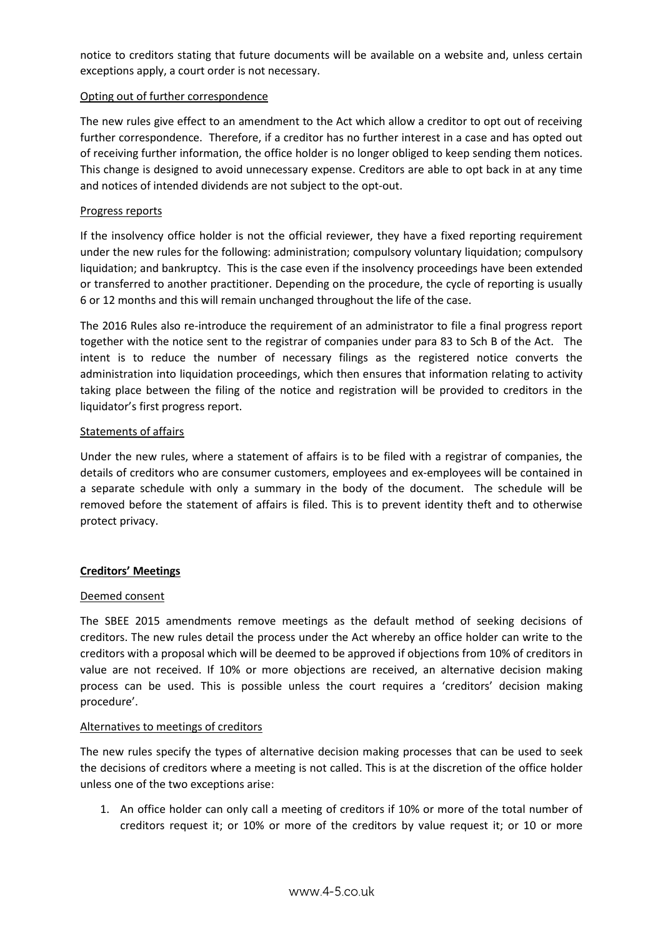notice to creditors stating that future documents will be available on a website and, unless certain exceptions apply, a court order is not necessary.

# Opting out of further correspondence

The new rules give effect to an amendment to the Act which allow a creditor to opt out of receiving further correspondence. Therefore, if a creditor has no further interest in a case and has opted out of receiving further information, the office holder is no longer obliged to keep sending them notices. This change is designed to avoid unnecessary expense. Creditors are able to opt back in at any time and notices of intended dividends are not subject to the opt-out.

### Progress reports

If the insolvency office holder is not the official reviewer, they have a fixed reporting requirement under the new rules for the following: administration; compulsory voluntary liquidation; compulsory liquidation; and bankruptcy. This is the case even if the insolvency proceedings have been extended or transferred to another practitioner. Depending on the procedure, the cycle of reporting is usually 6 or 12 months and this will remain unchanged throughout the life of the case.

The 2016 Rules also re-introduce the requirement of an administrator to file a final progress report together with the notice sent to the registrar of companies under para 83 to Sch B of the Act. The intent is to reduce the number of necessary filings as the registered notice converts the administration into liquidation proceedings, which then ensures that information relating to activity taking place between the filing of the notice and registration will be provided to creditors in the liquidator's first progress report.

### Statements of affairs

Under the new rules, where a statement of affairs is to be filed with a registrar of companies, the details of creditors who are consumer customers, employees and ex-employees will be contained in a separate schedule with only a summary in the body of the document. The schedule will be removed before the statement of affairs is filed. This is to prevent identity theft and to otherwise protect privacy.

### **Creditors' Meetings**

### Deemed consent

The SBEE 2015 amendments remove meetings as the default method of seeking decisions of creditors. The new rules detail the process under the Act whereby an office holder can write to the creditors with a proposal which will be deemed to be approved if objections from 10% of creditors in value are not received. If 10% or more objections are received, an alternative decision making process can be used. This is possible unless the court requires a 'creditors' decision making procedure'.

# Alternatives to meetings of creditors

The new rules specify the types of alternative decision making processes that can be used to seek the decisions of creditors where a meeting is not called. This is at the discretion of the office holder unless one of the two exceptions arise:

1. An office holder can only call a meeting of creditors if 10% or more of the total number of creditors request it; or 10% or more of the creditors by value request it; or 10 or more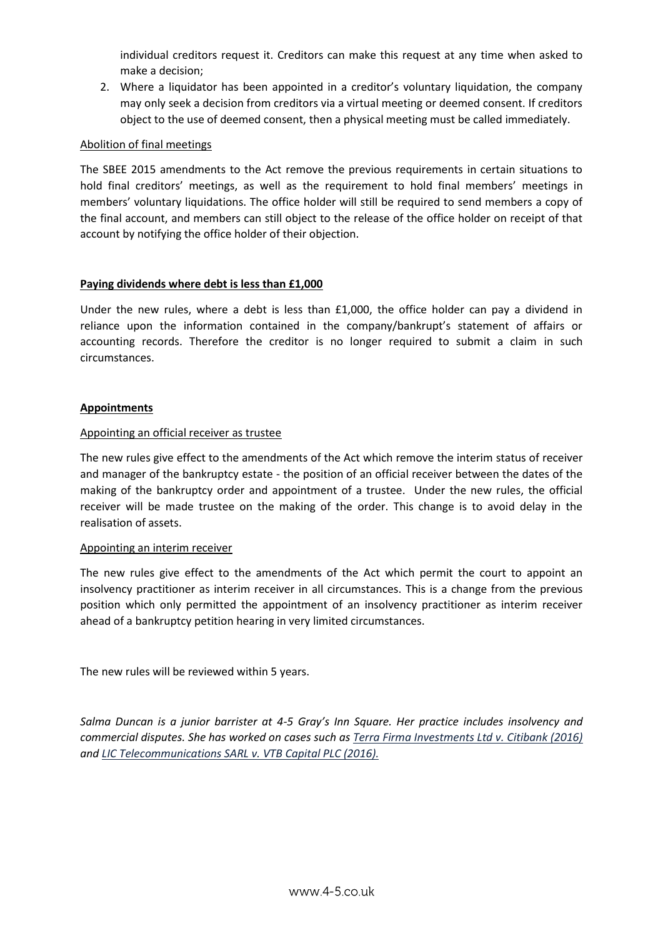individual creditors request it. Creditors can make this request at any time when asked to make a decision;

2. Where a liquidator has been appointed in a creditor's voluntary liquidation, the company may only seek a decision from creditors via a virtual meeting or deemed consent. If creditors object to the use of deemed consent, then a physical meeting must be called immediately.

# Abolition of final meetings

The SBEE 2015 amendments to the Act remove the previous requirements in certain situations to hold final creditors' meetings, as well as the requirement to hold final members' meetings in members' voluntary liquidations. The office holder will still be required to send members a copy of the final account, and members can still object to the release of the office holder on receipt of that account by notifying the office holder of their objection.

# **Paying dividends where debt is less than £1,000**

Under the new rules, where a debt is less than £1,000, the office holder can pay a dividend in reliance upon the information contained in the company/bankrupt's statement of affairs or accounting records. Therefore the creditor is no longer required to submit a claim in such circumstances.

# **Appointments**

### Appointing an official receiver as trustee

The new rules give effect to the amendments of the Act which remove the interim status of receiver and manager of the bankruptcy estate - the position of an official receiver between the dates of the making of the bankruptcy order and appointment of a trustee. Under the new rules, the official receiver will be made trustee on the making of the order. This change is to avoid delay in the realisation of assets.

### Appointing an interim receiver

The new rules give effect to the amendments of the Act which permit the court to appoint an insolvency practitioner as interim receiver in all circumstances. This is a change from the previous position which only permitted the appointment of an insolvency practitioner as interim receiver ahead of a bankruptcy petition hearing in very limited circumstances.

The new rules will be reviewed within 5 years.

*Salma Duncan is a junior barrister at 4-5 Gray's Inn Square. Her practice includes insolvency and commercial disputes. She has worked on cases such as Terra Firma Investments Ltd v. Citibank (2016) and LIC Telecommunications SARL v. VTB Capital PLC (2016).*